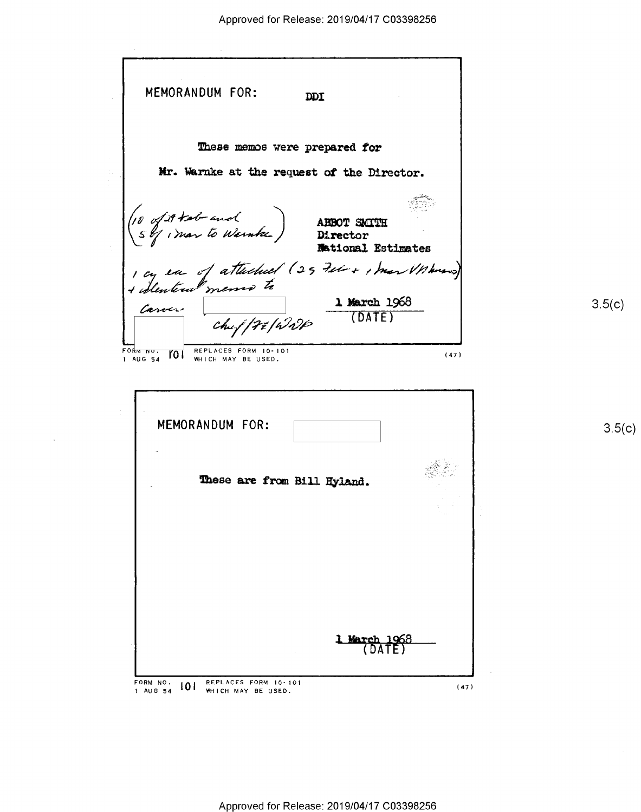MEMORANDUM FOR: DDI These memos were prepared for Hr. Warnke at the request or the Director. »~ .',., w () mar to Weinker ) Director lhtioml Estimates  $\mu a$  of attached (25 tel + 1 mar Vnhouse) /  $\mu_{\text{core}}$  1 March 1968 3.5(c) Chu { | F & | W  $\ell$ <sup>(DATE)</sup>  $F$ ORM NU. 701 REPLACES FORM 10-101  $(47)$ WHICH MAY BE USED. MEMORANDUM FOR: 2.5(c) These are from Bill Hyland.

FORM NO. **IOI** REPLACES FORM 10-101 **IOI CALCES FORM 10-101** (47) (47)

'-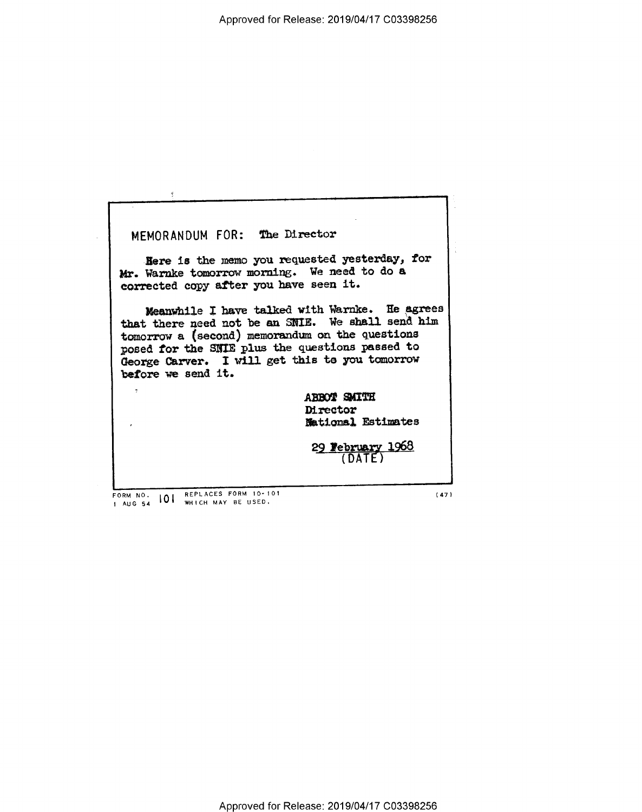MEMORANDUM FOR: The Director

Here is the memo you requested yesterday, for Mr. Warnke tomorrow morning. We need to do a corrected copy after you have seen it.

Meanwhile I have talked with Warnke. He agrees that there need not be an SNIE. We shall send him tomorrow a (second) memorandum on the questions posed for the SNIE plus the questions passed to George Carver. I will get this to you tomorrow before we send it.

> ABBOT SMITH Director **Mational Estimates**

29 February 1968

REPLACES FORM 10-101 FORM NO.  $101$ WHICH MAY BE USED. 1 AUG 54

 $\hat{\mathbf{z}}$ 

 $(47)$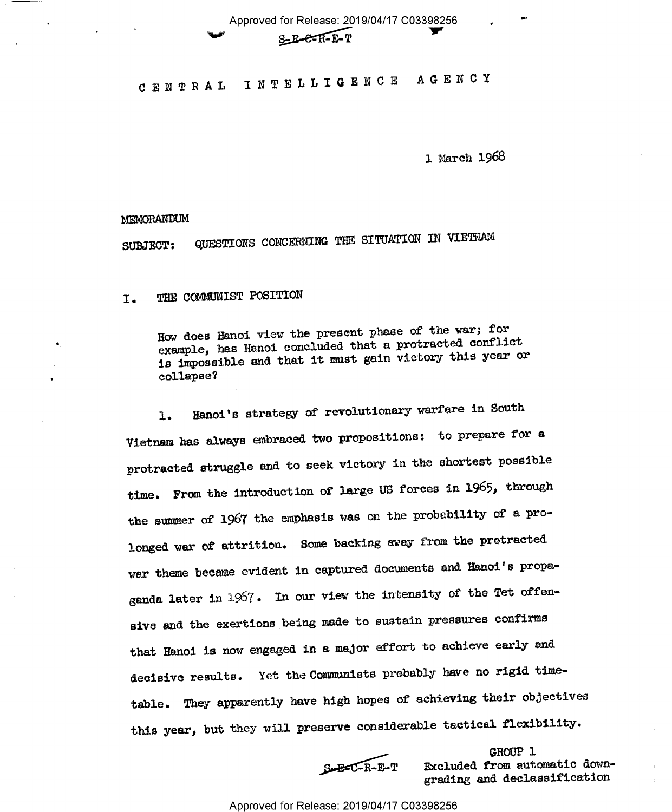Approved for Release: 2019/04/17 C03398256  $S$ -E-C- $R$ -E-T

CENTRAL INTELLIGENCE AGENCY

1 March 1968

MEMORANDUM

QUESTIONS CONCERNING THE SITUATION IN VIETNAM **SUBJECT:** 

THE COMMUNIST POSITION I.

> How does Hanoi view the present phase of the war; for example, has Hanoi concluded that a protracted conflict is impossible and that it must gain victory this year or collapse?

Hanoi's strategy of revolutionary warfare in South  $\mathbf{1}$ . Vietnam has always embraced two propositions: to prepare for a protracted struggle and to seek victory in the shortest possible time. From the introduction of large US forces in 1965, through the summer of 1967 the emphasis was on the probability of a prolonged war of attrition. Some backing away from the protracted war theme became evident in captured documents and Hanoi's propaganda later in 1967. In our view the intensity of the Tet offensive and the exertions being made to sustain pressures confirms that Hanoi is now engaged in a major effort to achieve early and decisive results. Yet the Communists probably have no rigid timetable. They apparently have high hopes of achieving their objectives this year, but they will preserve considerable tactical flexibility.

 $S - B - C - R - E - T$ 

GROUP 1 Excluded from automatic downgrading and declassification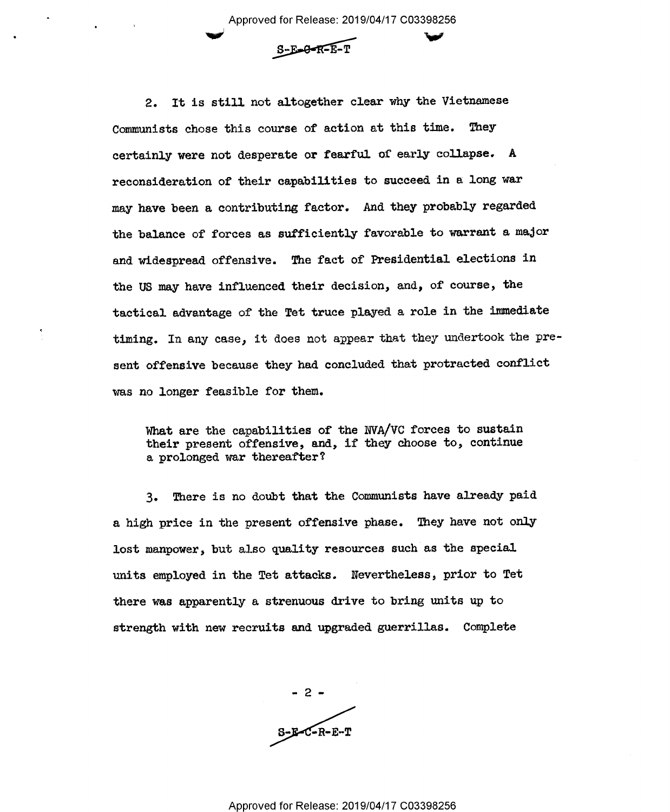Approved for Release: 2019/04/17 C03398256



2. It is still not altogether clear why the Vietnamese Communists chose this course of action at this time. They certainly were not desperate or fearful of early collapse. A reconsideration of their capabilities to succeed in a long war may have been a contributing factor. And they probably regarded the balance of forces as sufficiently favorable to warrant a major and widespread offensive. The fact of Presidential elections in the US may have influenced their decision, and, of course, the tactical advantage of the Tet truce played a role in the immediate timing. In any case, it does not appear that they undertook the pre sent offensive because they had concluded that protracted conflict was no longer feasible for them.

What are the capabilities of the NVA/VC forces to sustain their present offensive, and, if they choose to, continue a prolonged war thereafter?

3. There is no doubt that the Communists have already paid a high price in the present offensive phase. They have not only lost manpower, but also quality resources such as the special units employed in the Tet attacks. Nevertheless, prior to Tet there was apparently a strenuous drive to bring units up to strength with new recruits and upgraded guerrillas. Complete

 $\overline{\phantom{0}}$  $S-E-C-R-E-T$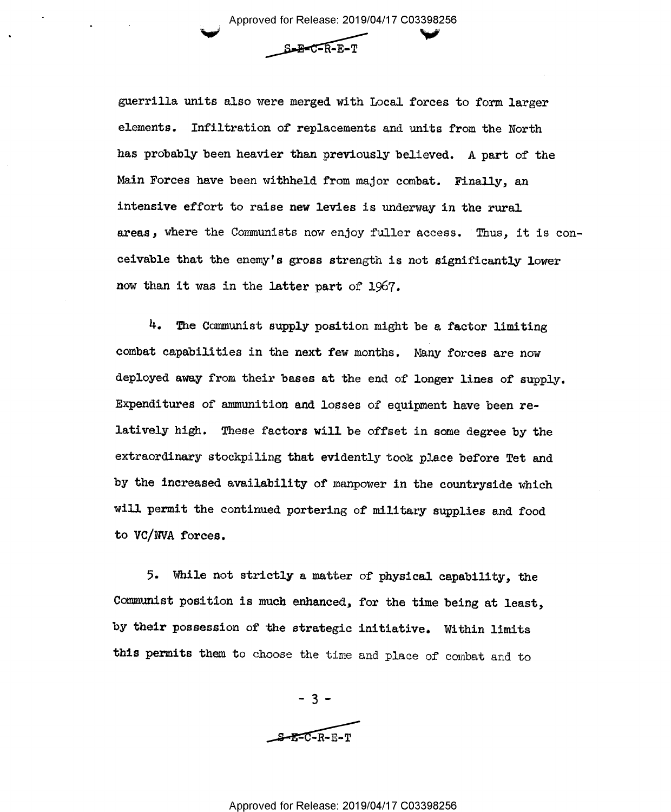1 Approved for Release: 2019/04/17 C03398256  $\checkmark$ 

\_\_\_s,s~c=§3E:Er'

guerrilla units also were merged with Local forces to form larger elements. Infiltration of replacements and units from the North has probably been heavier than previously believed. A part of the Main Forces have been withheld from major combat. Finally, an intensive effort to raise new levies is underway in the rural areas, where the Comunists now enjoy fuller access. 'Thus, it is conceivable that the enemy's gross strength is not significantly lower now than it was in the latter part of 1967.

H. The Communist supply position might be a factor limiting combat capabilities in the next few months. Many forces are now deployed away from their bases at the end of longer lines of supply. Expenditures of ammunition and losses of equipment have been relatively high. These factors will be offset in some degree by the extraordinary stockpiling that evidently took place before Tet and by the increased availability of manpower in the countryside which will permit the continued portering of military supplies and food to VC/NVA forces.

5. While not strictly a matter of physical capability, the Comunist position is much enhanced, for the time being at least, by their possession of the strategic initiative. Within limits this permits them to choose the time and place of combat and to

> -3-  $R = C - R - R - T$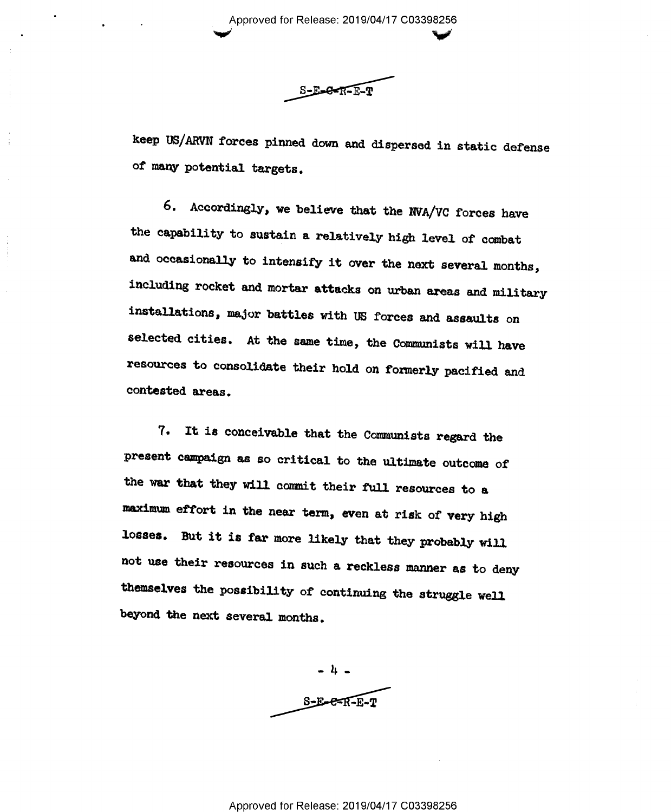' Approved for Release: 2019/04/17 C03398256

 $\sim$ 

 $S-E=Q-FE-F$ 

keep US/AHVN forces pinned down and dispersed in static defense of many potential targets.

6. Accordingly, we believe that the NVA/VG forces have the capability to sustain a relatively high level of cmbat and occasionally to intensify it over the next several months, including rocket and mortar attacks on urban areas and military installations, major battles with US forces and assaults on selected cities. At the same time, the Communists will have resources to consolidate their hold on formerly pacified and contested areas.

7. It is conceivable that the Communists regard the present campaign as so critical to the ultimate outcome of the war that they will commit their full resources to a maximum effort in the near term, even at risk of very high losses. But it is far more likely that they probably will not use their resources in such a reckless manner as to deny themselves the possibility of continuing the struggle well beyond the next several months.

-1,-  $S-E-E-F-E-T$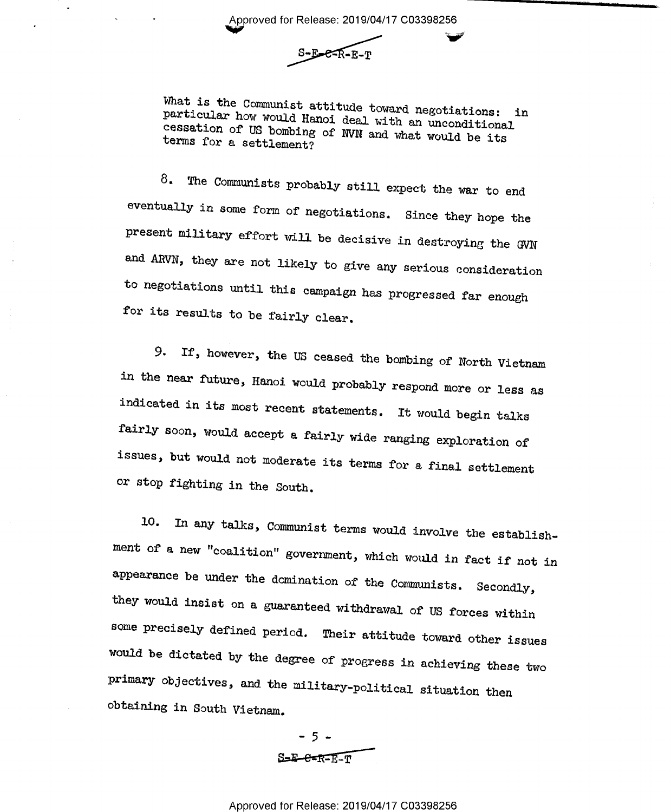Approved for Release: 2019/04/17 C03398256<br>S-E-C-R-E-T

particular What is the Communist attitude toward negotiations: in<br>particular how would Hanoi deal with an unconditional<br>cessation of US hombing of NUM and an unconditional terms for a settlement? cessation of US bombing of NVN and what would be its

8. The Communists probably still expect the war to end eventually in some form of negotiations. Since they hope the present military effort will be decisive in destroying the GVN and ARVN, they are not likely to give any serious consideration to negotiations until this campaign has progressed far enough for its results to be fairly clear.

9. If, however, the US ceased the bombing of North Vietnam in the near future, Hanoi would probably respond more or less as indicated in its most recent statements. It would begin talks fairly soon, would accept a fairly wide ranging exploration of issues, but would not moderate its terms for a final settlement or stop fighting in the South.

10. In any talks, Communist terms would involve the establishment of a new "coalition" government, which would in fact if not in appearance be under the domination of the Communists. Secondly, they would insist on a guaranteed withdrawal of US forces within some precisely defined period. Their attitude toward other issues would be dictated by the degree of progress in achieving these two primary objectives, and the military-political situation then obtaining in South Vietnam.

> - 5 -  $S=E-E-E-T$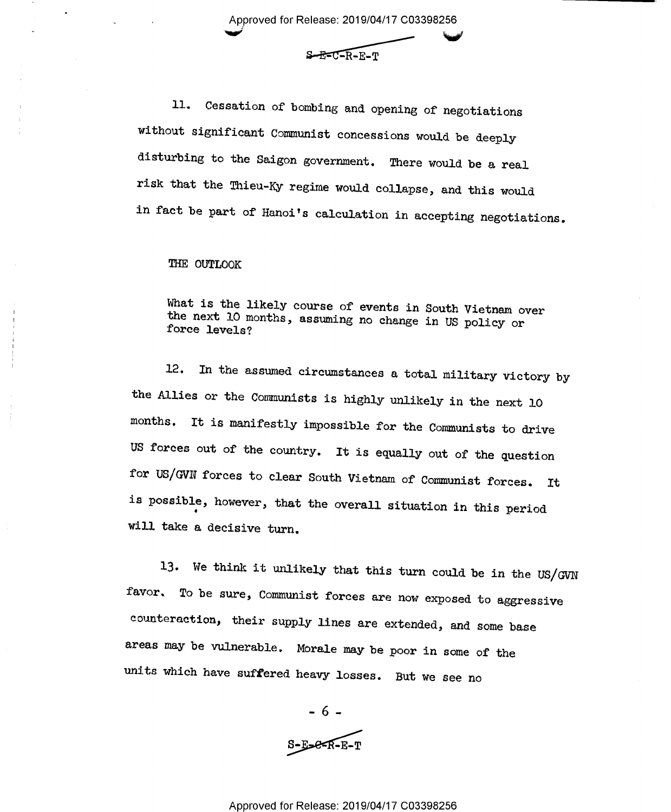Approved for Release: 2019/04/17 C03398256

 $S - E = C - R - E - T$ 

ll. Cessation of bombing and opening of negotiations without significant Comunist concessions would be deeply disturbing to the Saigon government. There would be a real risk that the Thieu-Ky regime would collapse, and this would in fact be part of Hanoi's calculation in accepting negotiations.

## THE OUTLOOK

What is the likely course of events in South Vietnam over the next 10 months, assuming no change in US policy or force levels?

12. In the assumed circumstances a total military victory by the Allies or the Comunists is highly unlikely in the next l0 months. It is manifestly impossible for the Communists to drive US forces out of the country. It is equally out of the question for US/GVN forces to clear South Vietnam of Communist forces. It is possible, however, that the overall situation in this period will take a decisive turn.

13. We think it unlikely that this turn could be in the US/GVN favor. To be sure, Communist forces are now exposed to aggressive counteraction, their supply lines are extended, and some base areas may be vulnerable. Morale may be poor in some of the units which have suffered heavy losses. But we see no

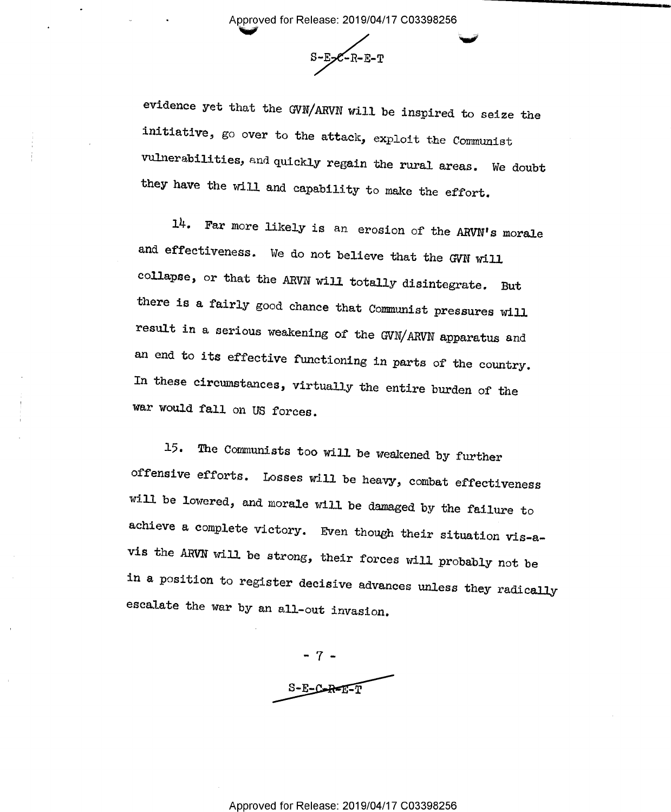Approved for Release: 2019/04/17 C03398256<br> $S-E-C-R-E-T$ 

evidence yet that the GVN/ARVN will be inspired to seize the initiative, go over to the attack, exploit the Comunist vulnerabilities, and quickly regain the rural areas. We doubt they have the will and capability to make the effort.

14. Far more likely is an erosion of the ARVN's morale and effectiveness. We do not believe that the GVN will collapse, or that the ARVN will totally disintegrate. But there is a fairly good chance that Communist pressures will result in a serious weakening of the GVN/ARVN apparatus and an end to its effective functioning in parts of the country. In these circumstances, virtually the entire burden of the war would fall on US forces.

15. The Communists too will be weakened by further offensive efforts. Losses will be heavy, combat effectiveness will be lowered, and morale will be damaged by the failure to achieve a complete victory. Even though their situation vis-avis the ARVN will be strong, their forces will probably not be in a position to register decisive advances unless they radicallyescalate the war by an all-out invasion.

-7..  $S-E-C-R-E-T$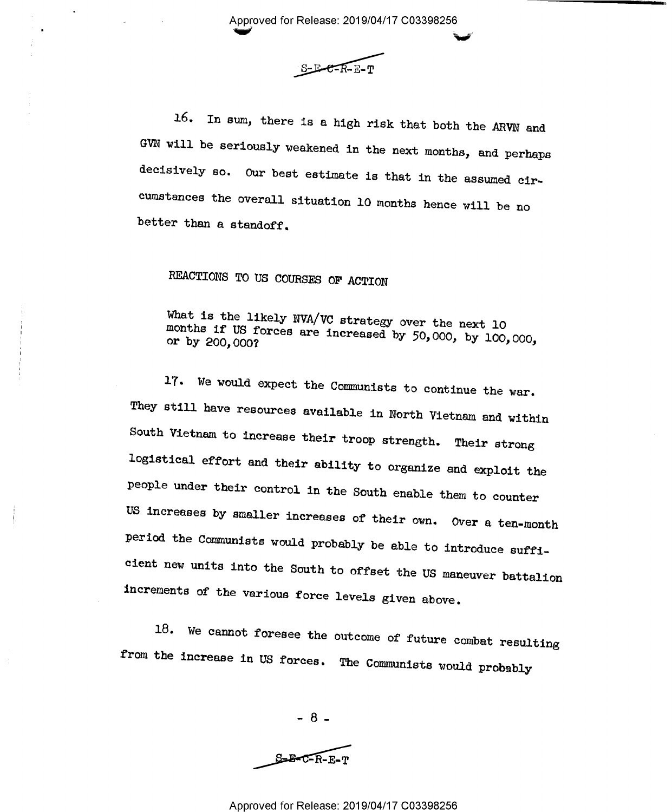Approved for Release: 2019/04/17 C03398256

is

 $S$ <sub> $E$ </sub> $E$  $R$  $E$  $T$ 

16. In sum, there is a high risk that both the ARVN and GVN will be seriously weakened in the next months, and perhaps decisively so. Our best estimate is that in the assumed cir~ cumstances the overall situation l0 months hence will be no better than a standoff.

## REACTIONS TO US COURSES OF ACTION

months if US forces are increased by  $50,000$ , by  $100,000$ , or by  $200,000$ ? What is the likely NVA/VC strategy over the next <sup>10</sup> or by 200,000?

17. We would expect the Communists to continue the war. They still have resources available in North Vietnam and within South Vietnam to increase their troop strength. Their strong logistical effort and their ability to organize and exploit the people under their control in the South enable them to counter US increases by smaller increases of their own. Over a ten-month period the Communists would probably be able to introduce sufficient new units into the South to offset the US maneuver battalion increments of the various force levels given above.

18. We cannot foresee the outcome of future combat resulting from the increase in US forces. The Communists would probably

 $- 8 -$ 

 $S = B - C - R - E - T$ 

## Approved for Release: 2019/04/17 C03398256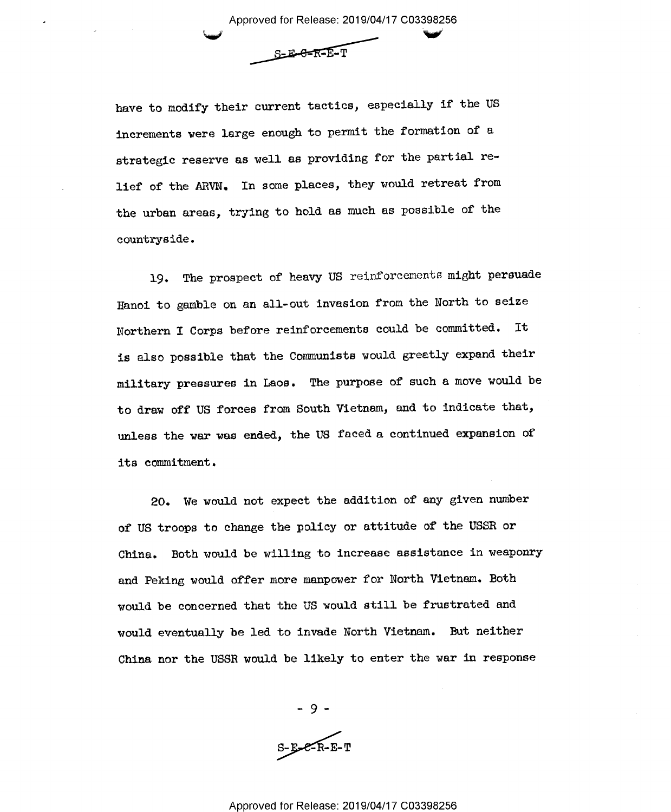Approved for Release: 2019/04/17 C03398256  $S-E-**E-F**=**T**$ 

have to modify their current tactics, especially if the US increments were large enough to permit the formation of <sup>a</sup> strategic reserve as well as providing for the partial relief of the ARVN. In some places, they would retreat from the urban areas, trying to hold as much as possible of the countryside.

19. The prospect of heavy US reinforcements might persuade Hanoi to gamble on an all-out invasion from the North to seize Northern I Corps before reinforcements could be committed. It is also possible that the Communists would greatly expand their military pressures in Laos. The purpose of such a move would be to draw off US forces from South Vietnam, and to indicate that, unless the war was ended, the US faced a continued expansion of its commitment .

20. We would not expect the addition of any given number of US troops to change the policy or attitude of the USSR or China. Both would be willing to increase assistance in weaponry and Peking would offer more manpower for North Vietnam. Both would be concerned that the US would still be frustrated and would eventually be led to invade North Vietnam. But neither China nor the USSR would be likely to enter the war in response

> -9-  $5 - 1 - 1 - 1 - 1$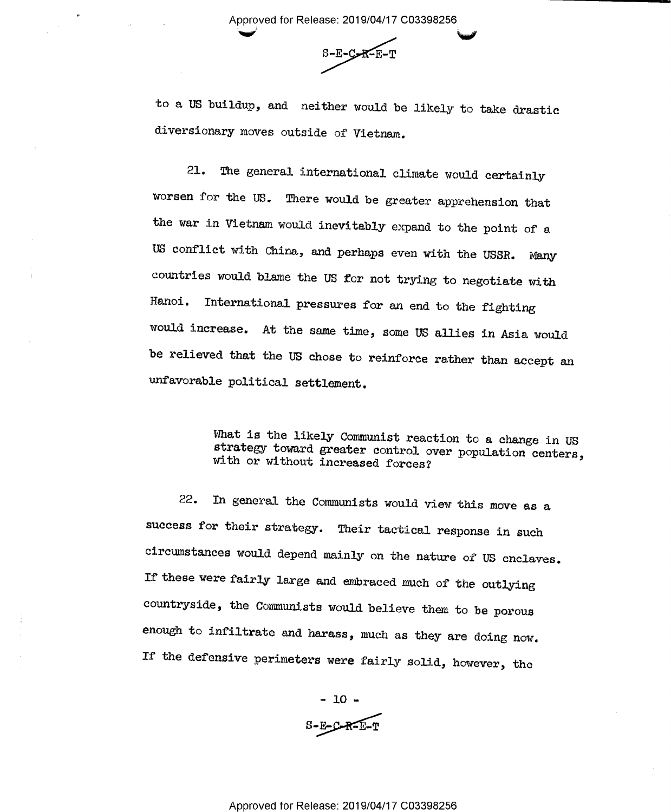'w'

 $S-E-C-R-E-T$ 

to a US buildup, and neither would be likely to take drastic diversionary moves outside of Vietnam.

21. The general international climate would certainly worsen for the US. There would be greater apprehension that the war in Vietnam would inevitably expand to the point of <sup>a</sup> US conflict with China, and perhaps even with the USSR. Many countries would blame the US for not trying to negotiate with Hanoi. International pressures for an end to the fighting would increase. At the same time, some US allies in Asia would be relieved that the US chose to reinforce rather than accept an unfavorable political settlement.

What is the likely Communist reaction to a change in US strategy toward greater control over population centers, with or without increased forces?

22. In general the Communists would view this move as <sup>a</sup> success for their strategy. Their tactical response in such circumstances would depend mainly on the nature of US enclaves. If these were fairly large and embraced much of the outlying countryside, the Communists would believe them to be porous enough to infiltrate and harass, much as they are doing now. If the defensive perimeters were fairly solid, however, the

> $-10 S-E-C-R-E-T$